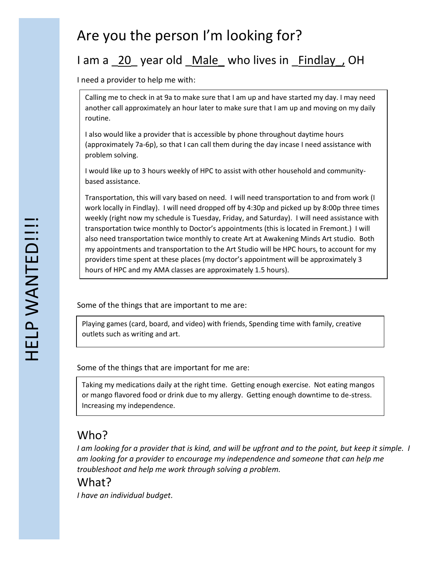# Are you the person I'm looking for?

# I am a 20 year old Male who lives in Findlay, OH

I need a provider to help me with:

Calling me to check in at 9a to make sure that I am up and have started my day. I may need another call approximately an hour later to make sure that I am up and moving on my daily routine.

I also would like a provider that is accessible by phone throughout daytime hours (approximately 7a-6p), so that I can call them during the day incase I need assistance with problem solving.

I would like up to 3 hours weekly of HPC to assist with other household and communitybased assistance.

Transportation, this will vary based on need. I will need transportation to and from work (I work locally in Findlay). I will need dropped off by 4:30p and picked up by 8:00p three times weekly (right now my schedule is Tuesday, Friday, and Saturday). I will need assistance with transportation twice monthly to Doctor's appointments (this is located in Fremont.) I will also need transportation twice monthly to create Art at Awakening Minds Art studio. Both my appointments and transportation to the Art Studio will be HPC hours, to account for my providers time spent at these places (my doctor's appointment will be approximately 3 hours of HPC and my AMA classes are approximately 1.5 hours).

Some of the things that are important to me are:

Playing games (card, board, and video) with friends, Spending time with family, creative outlets such as writing and art.

Some of the things that are important for me are:

Taking my medications daily at the right time. Getting enough exercise. Not eating mangos or mango flavored food or drink due to my allergy. Getting enough downtime to de-stress. Increasing my independence.

### Who?

*I am looking for a provider that is kind, and will be upfront and to the point, but keep it simple. I am looking for a provider to encourage my independence and someone that can help me troubleshoot and help me work through solving a problem.*

#### What?

*I have an individual budget.*